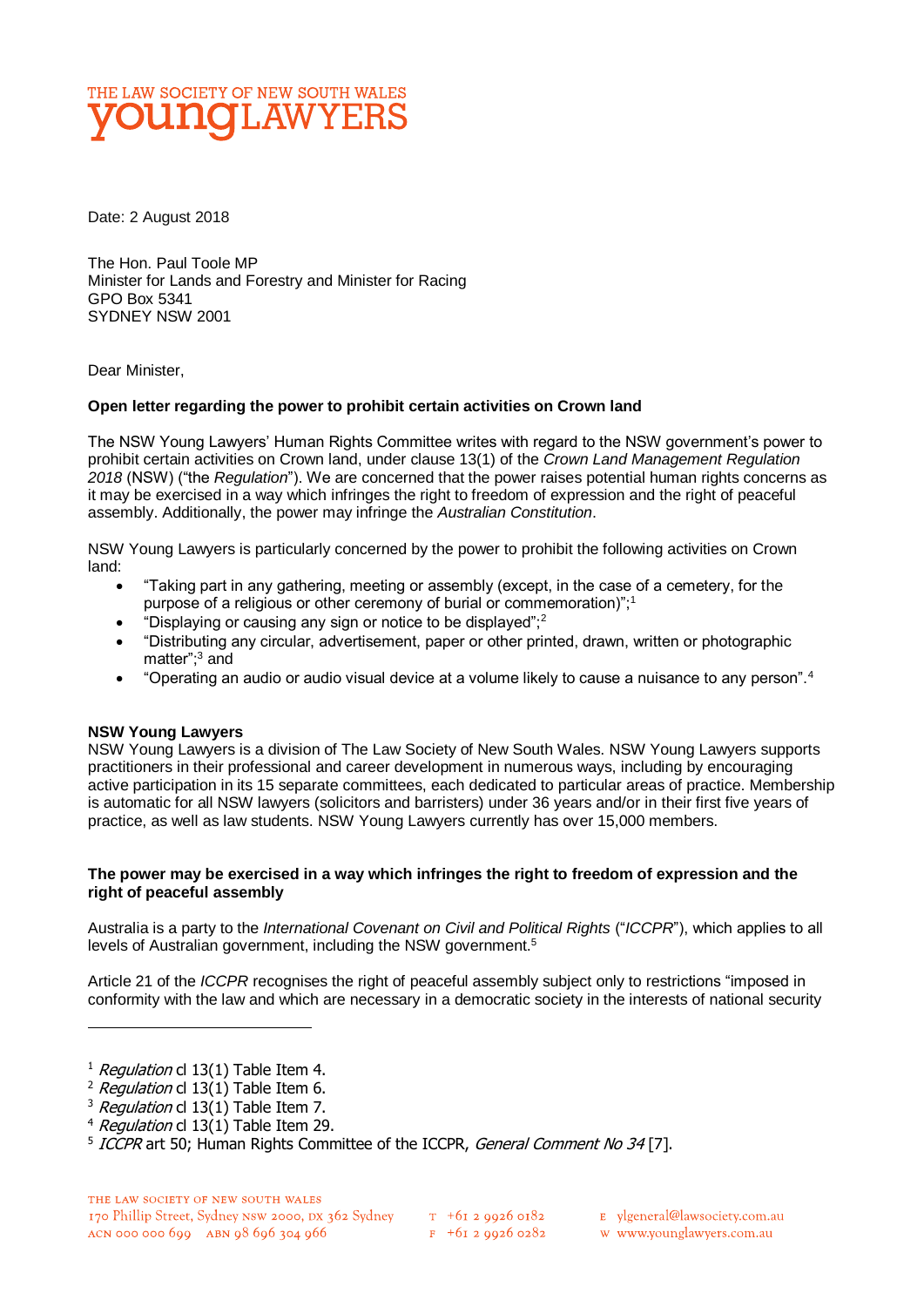# THE LAW SOCIETY OF NEW SOUTH WALES **DUNGLAWYERS**

Date: 2 August 2018

The Hon. Paul Toole MP Minister for Lands and Forestry and Minister for Racing GPO Box 5341 SYDNEY NSW 2001

Dear Minister,

### **Open letter regarding the power to prohibit certain activities on Crown land**

The NSW Young Lawyers' Human Rights Committee writes with regard to the NSW government's power to prohibit certain activities on Crown land, under clause 13(1) of the *Crown Land Management Regulation 2018* (NSW) ("the *Regulation*"). We are concerned that the power raises potential human rights concerns as it may be exercised in a way which infringes the right to freedom of expression and the right of peaceful assembly. Additionally, the power may infringe the *Australian Constitution*.

NSW Young Lawyers is particularly concerned by the power to prohibit the following activities on Crown land:

- "Taking part in any gathering, meeting or assembly (except, in the case of a cemetery, for the purpose of a religious or other ceremony of burial or commemoration)";<sup>1</sup>
- "Displaying or causing any sign or notice to be displayed": $2$
- "Distributing any circular, advertisement, paper or other printed, drawn, written or photographic matter";<sup>3</sup> and
- "Operating an audio or audio visual device at a volume likely to cause a nuisance to any person".<sup>4</sup>

#### **NSW Young Lawyers**

NSW Young Lawyers is a division of The Law Society of New South Wales. NSW Young Lawyers supports practitioners in their professional and career development in numerous ways, including by encouraging active participation in its 15 separate committees, each dedicated to particular areas of practice. Membership is automatic for all NSW lawyers (solicitors and barristers) under 36 years and/or in their first five years of practice, as well as law students. NSW Young Lawyers currently has over 15,000 members.

#### **The power may be exercised in a way which infringes the right to freedom of expression and the right of peaceful assembly**

Australia is a party to the *International Covenant on Civil and Political Rights* ("*ICCPR*"), which applies to all levels of Australian government, including the NSW government.<sup>5</sup>

Article 21 of the *ICCPR* recognises the right of peaceful assembly subject only to restrictions "imposed in conformity with the law and which are necessary in a democratic society in the interests of national security

 $\overline{a}$ 

w www.younglawyers.com.au

 $1$  Regulation cl 13(1) Table Item 4.

<sup>&</sup>lt;sup>2</sup> Regulation cl  $13(1)$  Table Item 6.

<sup>&</sup>lt;sup>3</sup> Regulation cl  $13(1)$  Table Item 7.

 $4$  Regulation cl 13(1) Table Item 29.

<sup>&</sup>lt;sup>5</sup> ICCPR art 50; Human Rights Committee of the ICCPR, General Comment No 34 [7].

E ylgeneral@lawsociety.com.au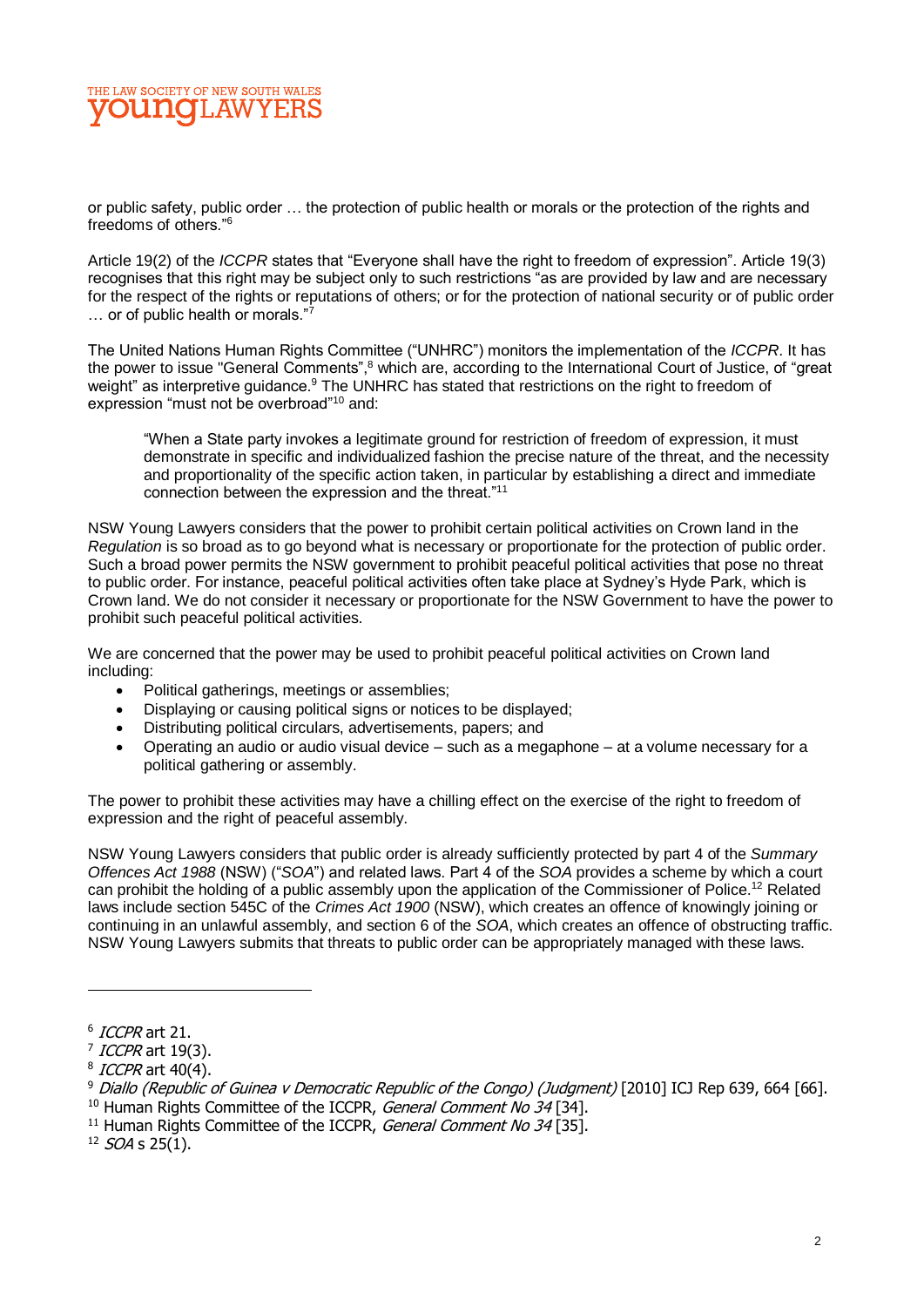## THE LAW SOCIETY OF NEW SOUTH WALES ⊺I.AW

or public safety, public order … the protection of public health or morals or the protection of the rights and freedoms of others."<sup>6</sup>

Article 19(2) of the *ICCPR* states that "Everyone shall have the right to freedom of expression". Article 19(3) recognises that this right may be subject only to such restrictions "as are provided by law and are necessary for the respect of the rights or reputations of others; or for the protection of national security or of public order ... or of public health or morals."7

The United Nations Human Rights Committee ("UNHRC") monitors the implementation of the *ICCPR*. It has the power to issue "General Comments",<sup>8</sup> which are, according to the International Court of Justice, of "great" weight" as interpretive guidance.<sup>9</sup> The UNHRC has stated that restrictions on the right to freedom of expression "must not be overbroad"<sup>10</sup> and:

"When a State party invokes a legitimate ground for restriction of freedom of expression, it must demonstrate in specific and individualized fashion the precise nature of the threat, and the necessity and proportionality of the specific action taken, in particular by establishing a direct and immediate connection between the expression and the threat."<sup>11</sup>

NSW Young Lawyers considers that the power to prohibit certain political activities on Crown land in the *Regulation* is so broad as to go beyond what is necessary or proportionate for the protection of public order. Such a broad power permits the NSW government to prohibit peaceful political activities that pose no threat to public order. For instance, peaceful political activities often take place at Sydney's Hyde Park, which is Crown land. We do not consider it necessary or proportionate for the NSW Government to have the power to prohibit such peaceful political activities.

We are concerned that the power may be used to prohibit peaceful political activities on Crown land including:

- Political gatherings, meetings or assemblies;
- Displaying or causing political signs or notices to be displayed;
- Distributing political circulars, advertisements, papers; and
- Operating an audio or audio visual device such as a megaphone at a volume necessary for a political gathering or assembly.

The power to prohibit these activities may have a chilling effect on the exercise of the right to freedom of expression and the right of peaceful assembly.

NSW Young Lawyers considers that public order is already sufficiently protected by part 4 of the *Summary Offences Act 1988* (NSW) ("*SOA*") and related laws. Part 4 of the *SOA* provides a scheme by which a court can prohibit the holding of a public assembly upon the application of the Commissioner of Police.<sup>12</sup> Related laws include section 545C of the *Crimes Act 1900* (NSW), which creates an offence of knowingly joining or continuing in an unlawful assembly, and section 6 of the *SOA*, which creates an offence of obstructing traffic. NSW Young Lawyers submits that threats to public order can be appropriately managed with these laws.

 $12$  SOA s 25(1).

 $^6$  *ICCPR* art 21.

<sup>&</sup>lt;sup>7</sup> ICCPR art 19(3).

<sup>&</sup>lt;sup>8</sup> ICCPR art 40(4).

<sup>9</sup> Diallo (Republic of Guinea v Democratic Republic of the Congo) (Judgment) [2010] ICJ Rep 639, 664 [66]. <sup>10</sup> Human Rights Committee of the ICCPR, General Comment No 34 [34].

 $11$  Human Rights Committee of the ICCPR, General Comment No 34 [35].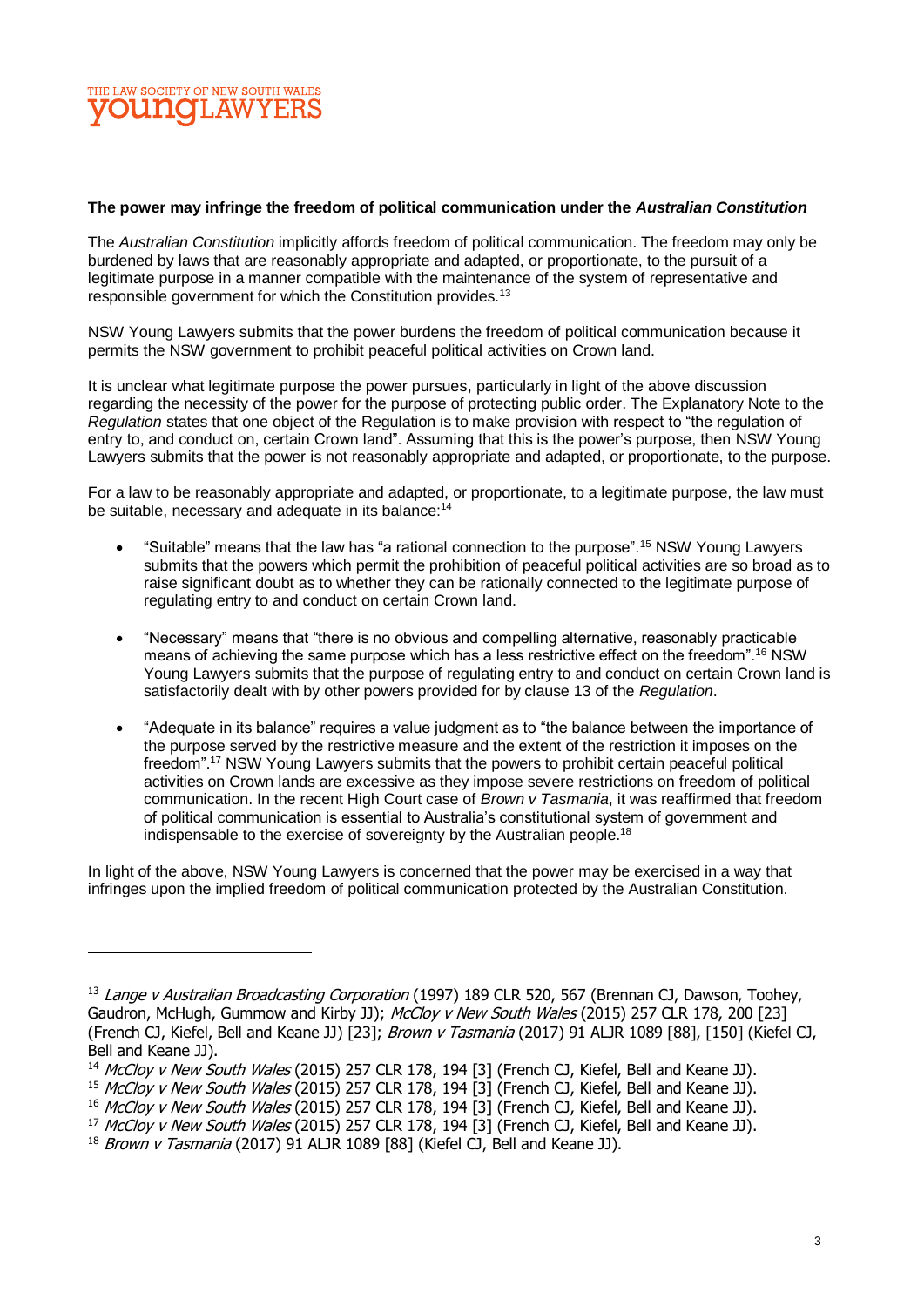## THE LAW SOCIETY OF NEW SOUTH WALES **DUNOLAW**

#### **The power may infringe the freedom of political communication under the** *Australian Constitution*

The *Australian Constitution* implicitly affords freedom of political communication. The freedom may only be burdened by laws that are reasonably appropriate and adapted, or proportionate, to the pursuit of a legitimate purpose in a manner compatible with the maintenance of the system of representative and responsible government for which the Constitution provides.<sup>13</sup>

NSW Young Lawyers submits that the power burdens the freedom of political communication because it permits the NSW government to prohibit peaceful political activities on Crown land.

It is unclear what legitimate purpose the power pursues, particularly in light of the above discussion regarding the necessity of the power for the purpose of protecting public order. The Explanatory Note to the *Regulation* states that one object of the Regulation is to make provision with respect to "the regulation of entry to, and conduct on, certain Crown land". Assuming that this is the power's purpose, then NSW Young Lawyers submits that the power is not reasonably appropriate and adapted, or proportionate, to the purpose.

For a law to be reasonably appropriate and adapted, or proportionate, to a legitimate purpose, the law must be suitable, necessary and adequate in its balance:<sup>14</sup>

- "Suitable" means that the law has "a rational connection to the purpose".<sup>15</sup> NSW Young Lawyers submits that the powers which permit the prohibition of peaceful political activities are so broad as to raise significant doubt as to whether they can be rationally connected to the legitimate purpose of regulating entry to and conduct on certain Crown land.
- "Necessary" means that "there is no obvious and compelling alternative, reasonably practicable means of achieving the same purpose which has a less restrictive effect on the freedom".<sup>16</sup> NSW Young Lawyers submits that the purpose of regulating entry to and conduct on certain Crown land is satisfactorily dealt with by other powers provided for by clause 13 of the *Regulation*.
- "Adequate in its balance" requires a value judgment as to "the balance between the importance of the purpose served by the restrictive measure and the extent of the restriction it imposes on the freedom".<sup>17</sup> NSW Young Lawyers submits that the powers to prohibit certain peaceful political activities on Crown lands are excessive as they impose severe restrictions on freedom of political communication. In the recent High Court case of *Brown v Tasmania*, it was reaffirmed that freedom of political communication is essential to Australia's constitutional system of government and indispensable to the exercise of sovereignty by the Australian people.<sup>18</sup>

In light of the above, NSW Young Lawyers is concerned that the power may be exercised in a way that infringes upon the implied freedom of political communication protected by the Australian Constitution.

<sup>&</sup>lt;sup>13</sup> Lange v Australian Broadcasting Corporation (1997) 189 CLR 520, 567 (Brennan CJ, Dawson, Toohey, Gaudron, McHugh, Gummow and Kirby JJ); McCloy v New South Wales (2015) 257 CLR 178, 200 [23] (French CJ, Kiefel, Bell and Keane JJ) [23]; Brown v Tasmania (2017) 91 ALJR 1089 [88], [150] (Kiefel CJ, Bell and Keane JJ).

<sup>&</sup>lt;sup>14</sup> McCloy v New South Wales (2015) 257 CLR 178, 194 [3] (French CJ, Kiefel, Bell and Keane JJ).

<sup>&</sup>lt;sup>15</sup> McCloy v New South Wales (2015) 257 CLR 178, 194 [3] (French CJ, Kiefel, Bell and Keane JJ).

<sup>&</sup>lt;sup>16</sup> McCloy v New South Wales (2015) 257 CLR 178, 194 [3] (French CJ, Kiefel, Bell and Keane JJ).

<sup>&</sup>lt;sup>17</sup> McCloy v New South Wales (2015) 257 CLR 178, 194 [3] (French CJ, Kiefel, Bell and Keane JJ).

 $18$  Brown v Tasmania (2017) 91 ALJR 1089 [88] (Kiefel CJ, Bell and Keane JJ).